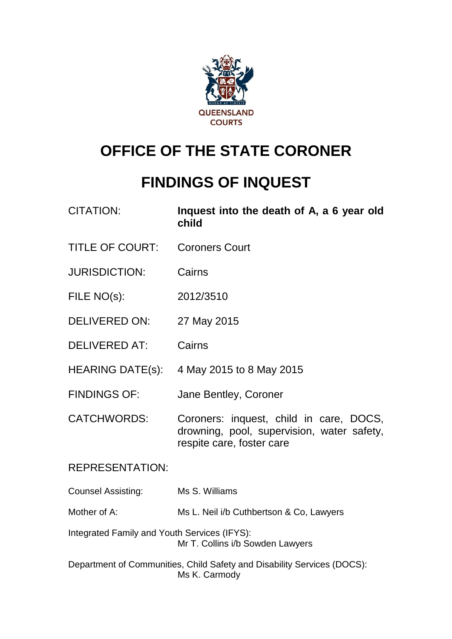

# **OFFICE OF THE STATE CORONER**

# **FINDINGS OF INQUEST**

| <b>CITATION:</b>                             | Inquest into the death of A, a 6 year old<br>child                                                                 |
|----------------------------------------------|--------------------------------------------------------------------------------------------------------------------|
| <b>TITLE OF COURT:</b>                       | <b>Coroners Court</b>                                                                                              |
| <b>JURISDICTION:</b>                         | Cairns                                                                                                             |
| FILE NO(s):                                  | 2012/3510                                                                                                          |
| <b>DELIVERED ON:</b>                         | 27 May 2015                                                                                                        |
| <b>DELIVERED AT:</b>                         | Cairns                                                                                                             |
|                                              | HEARING DATE(s): 4 May 2015 to 8 May 2015                                                                          |
| <b>FINDINGS OF:</b>                          | Jane Bentley, Coroner                                                                                              |
| <b>CATCHWORDS:</b>                           | Coroners: inquest, child in care, DOCS,<br>drowning, pool, supervision, water safety,<br>respite care, foster care |
| <b>REPRESENTATION:</b>                       |                                                                                                                    |
| <b>Counsel Assisting:</b>                    | Ms S. Williams                                                                                                     |
| Mother of A:                                 | Ms L. Neil i/b Cuthbertson & Co, Lawyers                                                                           |
| Integrated Family and Youth Services (IFYS): | Mr T. Collins i/b Sowden Lawyers                                                                                   |
|                                              |                                                                                                                    |

Department of Communities, Child Safety and Disability Services (DOCS): Ms K. Carmody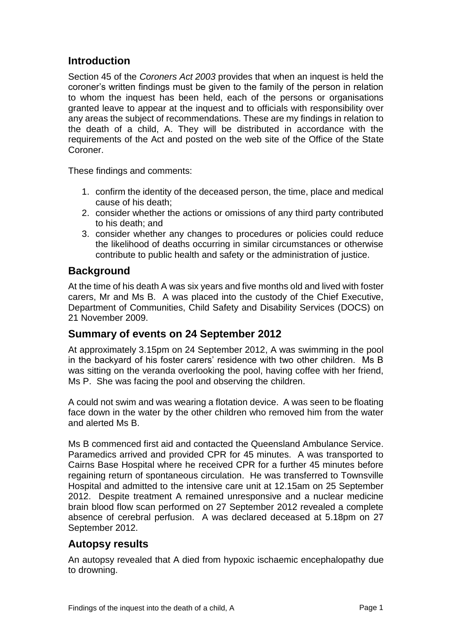# **Introduction**

Section 45 of the *Coroners Act 2003* provides that when an inquest is held the coroner's written findings must be given to the family of the person in relation to whom the inquest has been held, each of the persons or organisations granted leave to appear at the inquest and to officials with responsibility over any areas the subject of recommendations. These are my findings in relation to the death of a child, A. They will be distributed in accordance with the requirements of the Act and posted on the web site of the Office of the State Coroner.

These findings and comments:

- 1. confirm the identity of the deceased person, the time, place and medical cause of his death;
- 2. consider whether the actions or omissions of any third party contributed to his death; and
- 3. consider whether any changes to procedures or policies could reduce the likelihood of deaths occurring in similar circumstances or otherwise contribute to public health and safety or the administration of justice.

# **Background**

At the time of his death A was six years and five months old and lived with foster carers, Mr and Ms B. A was placed into the custody of the Chief Executive, Department of Communities, Child Safety and Disability Services (DOCS) on 21 November 2009.

# **Summary of events on 24 September 2012**

At approximately 3.15pm on 24 September 2012, A was swimming in the pool in the backyard of his foster carers' residence with two other children. Ms B was sitting on the veranda overlooking the pool, having coffee with her friend, Ms P. She was facing the pool and observing the children.

A could not swim and was wearing a flotation device. A was seen to be floating face down in the water by the other children who removed him from the water and alerted Ms B.

Ms B commenced first aid and contacted the Queensland Ambulance Service. Paramedics arrived and provided CPR for 45 minutes. A was transported to Cairns Base Hospital where he received CPR for a further 45 minutes before regaining return of spontaneous circulation. He was transferred to Townsville Hospital and admitted to the intensive care unit at 12.15am on 25 September 2012. Despite treatment A remained unresponsive and a nuclear medicine brain blood flow scan performed on 27 September 2012 revealed a complete absence of cerebral perfusion. A was declared deceased at 5.18pm on 27 September 2012.

# **Autopsy results**

An autopsy revealed that A died from hypoxic ischaemic encephalopathy due to drowning.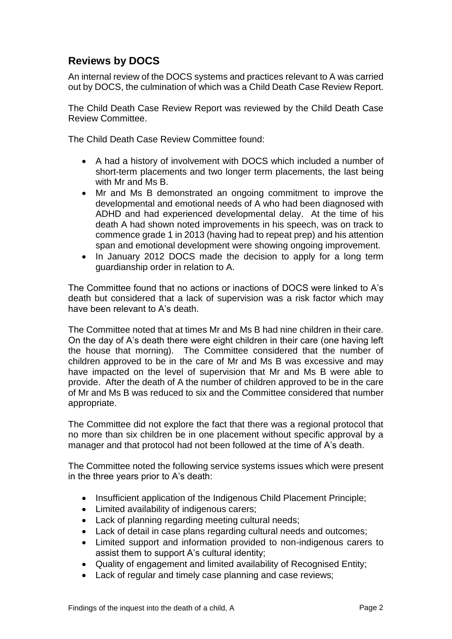# **Reviews by DOCS**

An internal review of the DOCS systems and practices relevant to A was carried out by DOCS, the culmination of which was a Child Death Case Review Report.

The Child Death Case Review Report was reviewed by the Child Death Case Review Committee.

The Child Death Case Review Committee found:

- A had a history of involvement with DOCS which included a number of short-term placements and two longer term placements, the last being with Mr and Ms B.
- Mr and Ms B demonstrated an ongoing commitment to improve the developmental and emotional needs of A who had been diagnosed with ADHD and had experienced developmental delay. At the time of his death A had shown noted improvements in his speech, was on track to commence grade 1 in 2013 (having had to repeat prep) and his attention span and emotional development were showing ongoing improvement.
- In January 2012 DOCS made the decision to apply for a long term guardianship order in relation to A.

The Committee found that no actions or inactions of DOCS were linked to A's death but considered that a lack of supervision was a risk factor which may have been relevant to A's death.

The Committee noted that at times Mr and Ms B had nine children in their care. On the day of A's death there were eight children in their care (one having left the house that morning). The Committee considered that the number of children approved to be in the care of Mr and Ms B was excessive and may have impacted on the level of supervision that Mr and Ms B were able to provide. After the death of A the number of children approved to be in the care of Mr and Ms B was reduced to six and the Committee considered that number appropriate.

The Committee did not explore the fact that there was a regional protocol that no more than six children be in one placement without specific approval by a manager and that protocol had not been followed at the time of A's death.

The Committee noted the following service systems issues which were present in the three years prior to A's death:

- Insufficient application of the Indigenous Child Placement Principle;
- Limited availability of indigenous carers;
- Lack of planning regarding meeting cultural needs;
- Lack of detail in case plans regarding cultural needs and outcomes;
- Limited support and information provided to non-indigenous carers to assist them to support A's cultural identity;
- Quality of engagement and limited availability of Recognised Entity;
- Lack of regular and timely case planning and case reviews;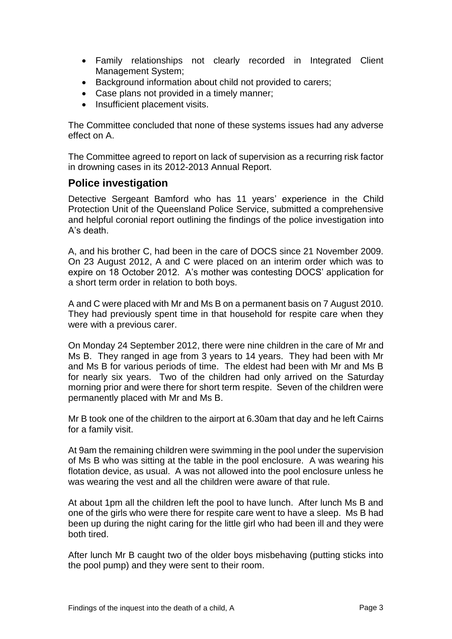- Family relationships not clearly recorded in Integrated Client Management System;
- Background information about child not provided to carers;
- Case plans not provided in a timely manner;
- Insufficient placement visits.

The Committee concluded that none of these systems issues had any adverse effect on A.

The Committee agreed to report on lack of supervision as a recurring risk factor in drowning cases in its 2012-2013 Annual Report.

# **Police investigation**

Detective Sergeant Bamford who has 11 years' experience in the Child Protection Unit of the Queensland Police Service, submitted a comprehensive and helpful coronial report outlining the findings of the police investigation into A's death.

A, and his brother C, had been in the care of DOCS since 21 November 2009. On 23 August 2012, A and C were placed on an interim order which was to expire on 18 October 2012. A's mother was contesting DOCS' application for a short term order in relation to both boys.

A and C were placed with Mr and Ms B on a permanent basis on 7 August 2010. They had previously spent time in that household for respite care when they were with a previous carer.

On Monday 24 September 2012, there were nine children in the care of Mr and Ms B. They ranged in age from 3 years to 14 years. They had been with Mr and Ms B for various periods of time. The eldest had been with Mr and Ms B for nearly six years. Two of the children had only arrived on the Saturday morning prior and were there for short term respite. Seven of the children were permanently placed with Mr and Ms B.

Mr B took one of the children to the airport at 6.30am that day and he left Cairns for a family visit.

At 9am the remaining children were swimming in the pool under the supervision of Ms B who was sitting at the table in the pool enclosure. A was wearing his flotation device, as usual. A was not allowed into the pool enclosure unless he was wearing the vest and all the children were aware of that rule.

At about 1pm all the children left the pool to have lunch. After lunch Ms B and one of the girls who were there for respite care went to have a sleep. Ms B had been up during the night caring for the little girl who had been ill and they were both tired.

After lunch Mr B caught two of the older boys misbehaving (putting sticks into the pool pump) and they were sent to their room.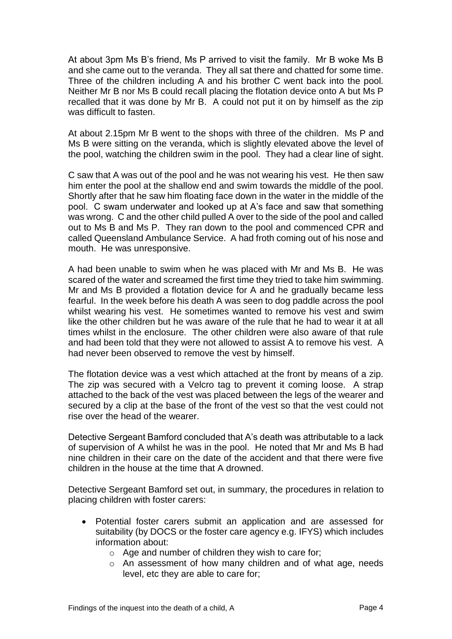At about 3pm Ms B's friend, Ms P arrived to visit the family. Mr B woke Ms B and she came out to the veranda. They all sat there and chatted for some time. Three of the children including A and his brother C went back into the pool. Neither Mr B nor Ms B could recall placing the flotation device onto A but Ms P recalled that it was done by Mr B. A could not put it on by himself as the zip was difficult to fasten.

At about 2.15pm Mr B went to the shops with three of the children. Ms P and Ms B were sitting on the veranda, which is slightly elevated above the level of the pool, watching the children swim in the pool. They had a clear line of sight.

C saw that A was out of the pool and he was not wearing his vest. He then saw him enter the pool at the shallow end and swim towards the middle of the pool. Shortly after that he saw him floating face down in the water in the middle of the pool. C swam underwater and looked up at A's face and saw that something was wrong. C and the other child pulled A over to the side of the pool and called out to Ms B and Ms P. They ran down to the pool and commenced CPR and called Queensland Ambulance Service. A had froth coming out of his nose and mouth. He was unresponsive.

A had been unable to swim when he was placed with Mr and Ms B. He was scared of the water and screamed the first time they tried to take him swimming. Mr and Ms B provided a flotation device for A and he gradually became less fearful. In the week before his death A was seen to dog paddle across the pool whilst wearing his vest. He sometimes wanted to remove his vest and swim like the other children but he was aware of the rule that he had to wear it at all times whilst in the enclosure. The other children were also aware of that rule and had been told that they were not allowed to assist A to remove his vest. A had never been observed to remove the vest by himself.

The flotation device was a vest which attached at the front by means of a zip. The zip was secured with a Velcro tag to prevent it coming loose. A strap attached to the back of the vest was placed between the legs of the wearer and secured by a clip at the base of the front of the vest so that the vest could not rise over the head of the wearer.

Detective Sergeant Bamford concluded that A's death was attributable to a lack of supervision of A whilst he was in the pool. He noted that Mr and Ms B had nine children in their care on the date of the accident and that there were five children in the house at the time that A drowned.

Detective Sergeant Bamford set out, in summary, the procedures in relation to placing children with foster carers:

- Potential foster carers submit an application and are assessed for suitability (by DOCS or the foster care agency e.g. IFYS) which includes information about:
	- o Age and number of children they wish to care for;
	- o An assessment of how many children and of what age, needs level, etc they are able to care for;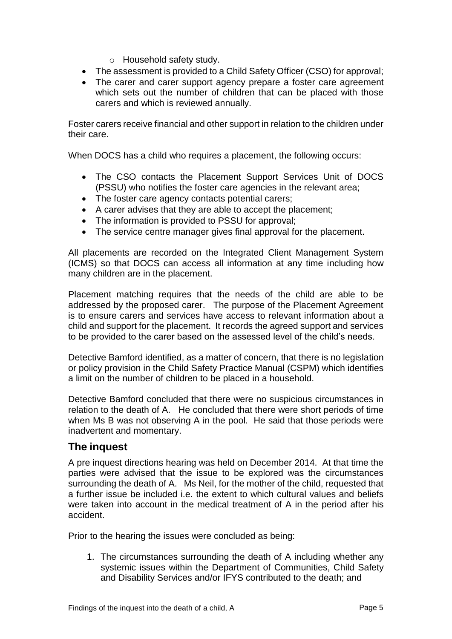- o Household safety study.
- The assessment is provided to a Child Safety Officer (CSO) for approval;
- The carer and carer support agency prepare a foster care agreement which sets out the number of children that can be placed with those carers and which is reviewed annually.

Foster carers receive financial and other support in relation to the children under their care.

When DOCS has a child who requires a placement, the following occurs:

- The CSO contacts the Placement Support Services Unit of DOCS (PSSU) who notifies the foster care agencies in the relevant area;
- The foster care agency contacts potential carers;
- A carer advises that they are able to accept the placement;
- The information is provided to PSSU for approval;
- The service centre manager gives final approval for the placement.

All placements are recorded on the Integrated Client Management System (ICMS) so that DOCS can access all information at any time including how many children are in the placement.

Placement matching requires that the needs of the child are able to be addressed by the proposed carer. The purpose of the Placement Agreement is to ensure carers and services have access to relevant information about a child and support for the placement. It records the agreed support and services to be provided to the carer based on the assessed level of the child's needs.

Detective Bamford identified, as a matter of concern, that there is no legislation or policy provision in the Child Safety Practice Manual (CSPM) which identifies a limit on the number of children to be placed in a household.

Detective Bamford concluded that there were no suspicious circumstances in relation to the death of A. He concluded that there were short periods of time when Ms B was not observing A in the pool. He said that those periods were inadvertent and momentary.

# **The inquest**

A pre inquest directions hearing was held on December 2014. At that time the parties were advised that the issue to be explored was the circumstances surrounding the death of A. Ms Neil, for the mother of the child, requested that a further issue be included i.e. the extent to which cultural values and beliefs were taken into account in the medical treatment of A in the period after his accident.

Prior to the hearing the issues were concluded as being:

1. The circumstances surrounding the death of A including whether any systemic issues within the Department of Communities, Child Safety and Disability Services and/or IFYS contributed to the death; and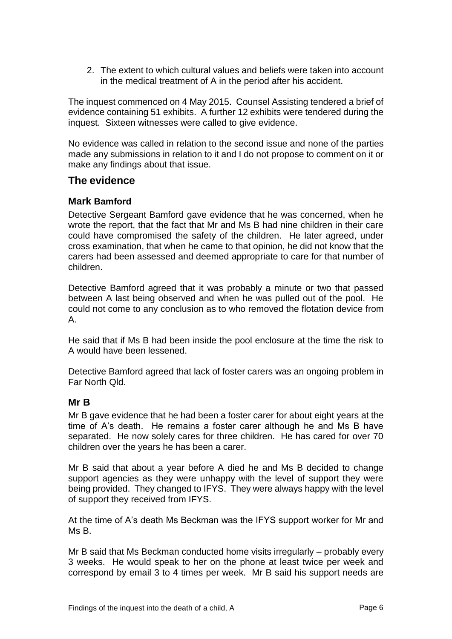2. The extent to which cultural values and beliefs were taken into account in the medical treatment of A in the period after his accident.

The inquest commenced on 4 May 2015. Counsel Assisting tendered a brief of evidence containing 51 exhibits. A further 12 exhibits were tendered during the inquest. Sixteen witnesses were called to give evidence.

No evidence was called in relation to the second issue and none of the parties made any submissions in relation to it and I do not propose to comment on it or make any findings about that issue.

# **The evidence**

#### **Mark Bamford**

Detective Sergeant Bamford gave evidence that he was concerned, when he wrote the report, that the fact that Mr and Ms B had nine children in their care could have compromised the safety of the children. He later agreed, under cross examination, that when he came to that opinion, he did not know that the carers had been assessed and deemed appropriate to care for that number of children.

Detective Bamford agreed that it was probably a minute or two that passed between A last being observed and when he was pulled out of the pool. He could not come to any conclusion as to who removed the flotation device from A.

He said that if Ms B had been inside the pool enclosure at the time the risk to A would have been lessened.

Detective Bamford agreed that lack of foster carers was an ongoing problem in Far North Qld.

#### **Mr B**

Mr B gave evidence that he had been a foster carer for about eight years at the time of A's death. He remains a foster carer although he and Ms B have separated. He now solely cares for three children. He has cared for over 70 children over the years he has been a carer.

Mr B said that about a year before A died he and Ms B decided to change support agencies as they were unhappy with the level of support they were being provided. They changed to IFYS. They were always happy with the level of support they received from IFYS.

At the time of A's death Ms Beckman was the IFYS support worker for Mr and Ms B.

Mr B said that Ms Beckman conducted home visits irregularly – probably every 3 weeks. He would speak to her on the phone at least twice per week and correspond by email 3 to 4 times per week. Mr B said his support needs are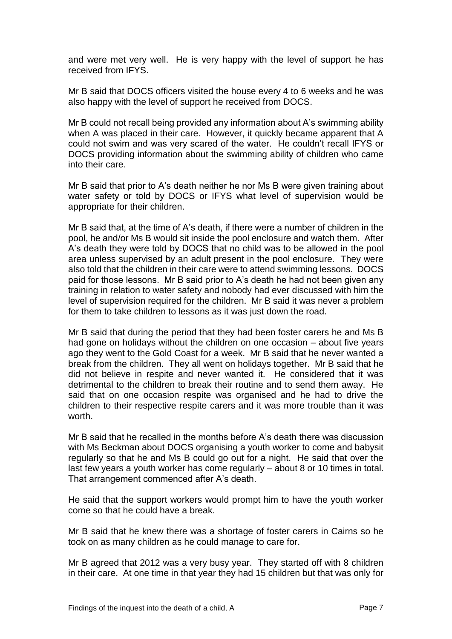and were met very well. He is very happy with the level of support he has received from IFYS.

Mr B said that DOCS officers visited the house every 4 to 6 weeks and he was also happy with the level of support he received from DOCS.

Mr B could not recall being provided any information about A's swimming ability when A was placed in their care. However, it quickly became apparent that A could not swim and was very scared of the water. He couldn't recall IFYS or DOCS providing information about the swimming ability of children who came into their care.

Mr B said that prior to A's death neither he nor Ms B were given training about water safety or told by DOCS or IFYS what level of supervision would be appropriate for their children.

Mr B said that, at the time of A's death, if there were a number of children in the pool, he and/or Ms B would sit inside the pool enclosure and watch them. After A's death they were told by DOCS that no child was to be allowed in the pool area unless supervised by an adult present in the pool enclosure. They were also told that the children in their care were to attend swimming lessons. DOCS paid for those lessons. Mr B said prior to A's death he had not been given any training in relation to water safety and nobody had ever discussed with him the level of supervision required for the children. Mr B said it was never a problem for them to take children to lessons as it was just down the road.

Mr B said that during the period that they had been foster carers he and Ms B had gone on holidays without the children on one occasion – about five years ago they went to the Gold Coast for a week. Mr B said that he never wanted a break from the children. They all went on holidays together. Mr B said that he did not believe in respite and never wanted it. He considered that it was detrimental to the children to break their routine and to send them away. He said that on one occasion respite was organised and he had to drive the children to their respective respite carers and it was more trouble than it was worth.

Mr B said that he recalled in the months before A's death there was discussion with Ms Beckman about DOCS organising a youth worker to come and babysit regularly so that he and Ms B could go out for a night. He said that over the last few years a youth worker has come regularly – about 8 or 10 times in total. That arrangement commenced after A's death.

He said that the support workers would prompt him to have the youth worker come so that he could have a break.

Mr B said that he knew there was a shortage of foster carers in Cairns so he took on as many children as he could manage to care for.

Mr B agreed that 2012 was a very busy year. They started off with 8 children in their care. At one time in that year they had 15 children but that was only for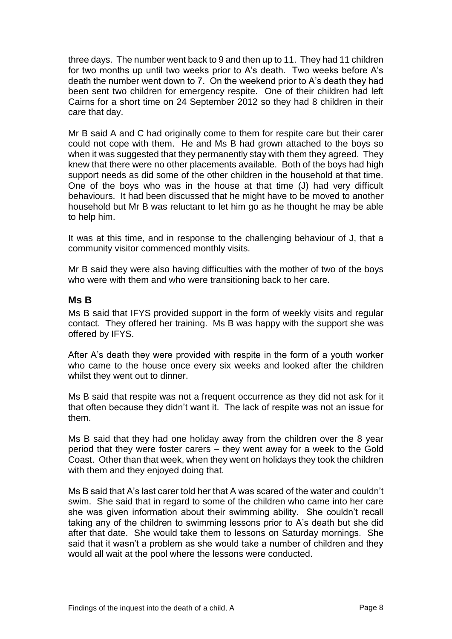three days. The number went back to 9 and then up to 11. They had 11 children for two months up until two weeks prior to A's death. Two weeks before A's death the number went down to 7. On the weekend prior to A's death they had been sent two children for emergency respite. One of their children had left Cairns for a short time on 24 September 2012 so they had 8 children in their care that day.

Mr B said A and C had originally come to them for respite care but their carer could not cope with them. He and Ms B had grown attached to the boys so when it was suggested that they permanently stay with them they agreed. They knew that there were no other placements available. Both of the boys had high support needs as did some of the other children in the household at that time. One of the boys who was in the house at that time (J) had very difficult behaviours. It had been discussed that he might have to be moved to another household but Mr B was reluctant to let him go as he thought he may be able to help him.

It was at this time, and in response to the challenging behaviour of J, that a community visitor commenced monthly visits.

Mr B said they were also having difficulties with the mother of two of the boys who were with them and who were transitioning back to her care.

#### **Ms B**

Ms B said that IFYS provided support in the form of weekly visits and regular contact. They offered her training. Ms B was happy with the support she was offered by IFYS.

After A's death they were provided with respite in the form of a youth worker who came to the house once every six weeks and looked after the children whilst they went out to dinner.

Ms B said that respite was not a frequent occurrence as they did not ask for it that often because they didn't want it. The lack of respite was not an issue for them.

Ms B said that they had one holiday away from the children over the 8 year period that they were foster carers – they went away for a week to the Gold Coast. Other than that week, when they went on holidays they took the children with them and they enjoyed doing that.

Ms B said that A's last carer told her that A was scared of the water and couldn't swim. She said that in regard to some of the children who came into her care she was given information about their swimming ability. She couldn't recall taking any of the children to swimming lessons prior to A's death but she did after that date. She would take them to lessons on Saturday mornings. She said that it wasn't a problem as she would take a number of children and they would all wait at the pool where the lessons were conducted.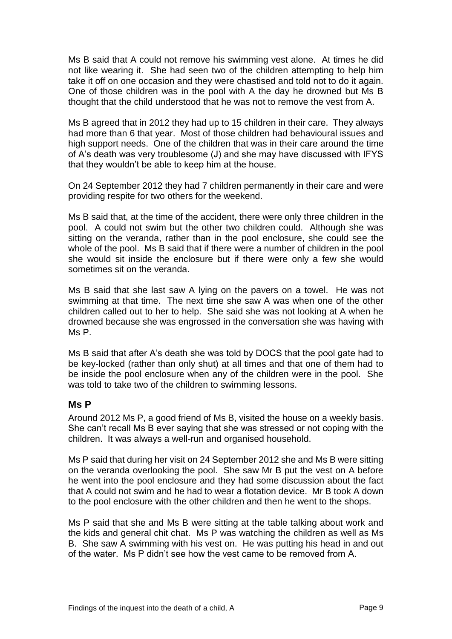Ms B said that A could not remove his swimming vest alone. At times he did not like wearing it. She had seen two of the children attempting to help him take it off on one occasion and they were chastised and told not to do it again. One of those children was in the pool with A the day he drowned but Ms B thought that the child understood that he was not to remove the vest from A.

Ms B agreed that in 2012 they had up to 15 children in their care. They always had more than 6 that year. Most of those children had behavioural issues and high support needs. One of the children that was in their care around the time of A's death was very troublesome (J) and she may have discussed with IFYS that they wouldn't be able to keep him at the house.

On 24 September 2012 they had 7 children permanently in their care and were providing respite for two others for the weekend.

Ms B said that, at the time of the accident, there were only three children in the pool. A could not swim but the other two children could. Although she was sitting on the veranda, rather than in the pool enclosure, she could see the whole of the pool. Ms B said that if there were a number of children in the pool she would sit inside the enclosure but if there were only a few she would sometimes sit on the veranda.

Ms B said that she last saw A lying on the pavers on a towel. He was not swimming at that time. The next time she saw A was when one of the other children called out to her to help. She said she was not looking at A when he drowned because she was engrossed in the conversation she was having with Ms P.

Ms B said that after A's death she was told by DOCS that the pool gate had to be key-locked (rather than only shut) at all times and that one of them had to be inside the pool enclosure when any of the children were in the pool. She was told to take two of the children to swimming lessons.

#### **Ms P**

Around 2012 Ms P, a good friend of Ms B, visited the house on a weekly basis. She can't recall Ms B ever saying that she was stressed or not coping with the children. It was always a well-run and organised household.

Ms P said that during her visit on 24 September 2012 she and Ms B were sitting on the veranda overlooking the pool. She saw Mr B put the vest on A before he went into the pool enclosure and they had some discussion about the fact that A could not swim and he had to wear a flotation device. Mr B took A down to the pool enclosure with the other children and then he went to the shops.

Ms P said that she and Ms B were sitting at the table talking about work and the kids and general chit chat. Ms P was watching the children as well as Ms B. She saw A swimming with his vest on. He was putting his head in and out of the water. Ms P didn't see how the vest came to be removed from A.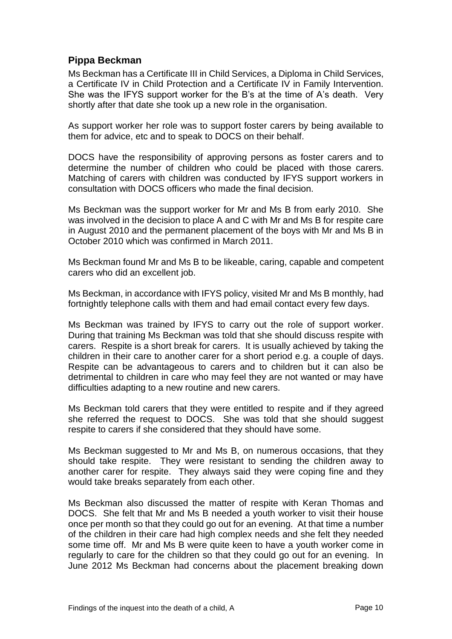# **Pippa Beckman**

Ms Beckman has a Certificate III in Child Services, a Diploma in Child Services, a Certificate IV in Child Protection and a Certificate IV in Family Intervention. She was the IFYS support worker for the B's at the time of A's death. Very shortly after that date she took up a new role in the organisation.

As support worker her role was to support foster carers by being available to them for advice, etc and to speak to DOCS on their behalf.

DOCS have the responsibility of approving persons as foster carers and to determine the number of children who could be placed with those carers. Matching of carers with children was conducted by IFYS support workers in consultation with DOCS officers who made the final decision.

Ms Beckman was the support worker for Mr and Ms B from early 2010. She was involved in the decision to place A and C with Mr and Ms B for respite care in August 2010 and the permanent placement of the boys with Mr and Ms B in October 2010 which was confirmed in March 2011.

Ms Beckman found Mr and Ms B to be likeable, caring, capable and competent carers who did an excellent job.

Ms Beckman, in accordance with IFYS policy, visited Mr and Ms B monthly, had fortnightly telephone calls with them and had email contact every few days.

Ms Beckman was trained by IFYS to carry out the role of support worker. During that training Ms Beckman was told that she should discuss respite with carers. Respite is a short break for carers. It is usually achieved by taking the children in their care to another carer for a short period e.g. a couple of days. Respite can be advantageous to carers and to children but it can also be detrimental to children in care who may feel they are not wanted or may have difficulties adapting to a new routine and new carers.

Ms Beckman told carers that they were entitled to respite and if they agreed she referred the request to DOCS. She was told that she should suggest respite to carers if she considered that they should have some.

Ms Beckman suggested to Mr and Ms B, on numerous occasions, that they should take respite. They were resistant to sending the children away to another carer for respite. They always said they were coping fine and they would take breaks separately from each other.

Ms Beckman also discussed the matter of respite with Keran Thomas and DOCS. She felt that Mr and Ms B needed a youth worker to visit their house once per month so that they could go out for an evening. At that time a number of the children in their care had high complex needs and she felt they needed some time off. Mr and Ms B were quite keen to have a youth worker come in regularly to care for the children so that they could go out for an evening. In June 2012 Ms Beckman had concerns about the placement breaking down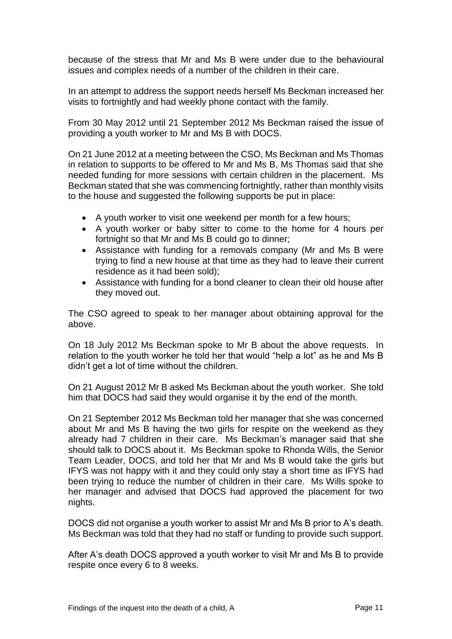because of the stress that Mr and Ms B were under due to the behavioural issues and complex needs of a number of the children in their care.

In an attempt to address the support needs herself Ms Beckman increased her visits to fortnightly and had weekly phone contact with the family.

From 30 May 2012 until 21 September 2012 Ms Beckman raised the issue of providing a youth worker to Mr and Ms B with DOCS.

On 21 June 2012 at a meeting between the CSO, Ms Beckman and Ms Thomas in relation to supports to be offered to Mr and Ms B, Ms Thomas said that she needed funding for more sessions with certain children in the placement. Ms Beckman stated that she was commencing fortnightly, rather than monthly visits to the house and suggested the following supports be put in place:

- A youth worker to visit one weekend per month for a few hours;
- A youth worker or baby sitter to come to the home for 4 hours per fortnight so that Mr and Ms B could go to dinner;
- Assistance with funding for a removals company (Mr and Ms B were trying to find a new house at that time as they had to leave their current residence as it had been sold);
- Assistance with funding for a bond cleaner to clean their old house after they moved out.

The CSO agreed to speak to her manager about obtaining approval for the above.

On 18 July 2012 Ms Beckman spoke to Mr B about the above requests. In relation to the youth worker he told her that would "help a lot" as he and Ms B didn't get a lot of time without the children.

On 21 August 2012 Mr B asked Ms Beckman about the youth worker. She told him that DOCS had said they would organise it by the end of the month.

On 21 September 2012 Ms Beckman told her manager that she was concerned about Mr and Ms B having the two girls for respite on the weekend as they already had 7 children in their care. Ms Beckman's manager said that she should talk to DOCS about it. Ms Beckman spoke to Rhonda Wills, the Senior Team Leader, DOCS, and told her that Mr and Ms B would take the girls but IFYS was not happy with it and they could only stay a short time as IFYS had been trying to reduce the number of children in their care. Ms Wills spoke to her manager and advised that DOCS had approved the placement for two nights.

DOCS did not organise a youth worker to assist Mr and Ms B prior to A's death. Ms Beckman was told that they had no staff or funding to provide such support.

After A's death DOCS approved a youth worker to visit Mr and Ms B to provide respite once every 6 to 8 weeks.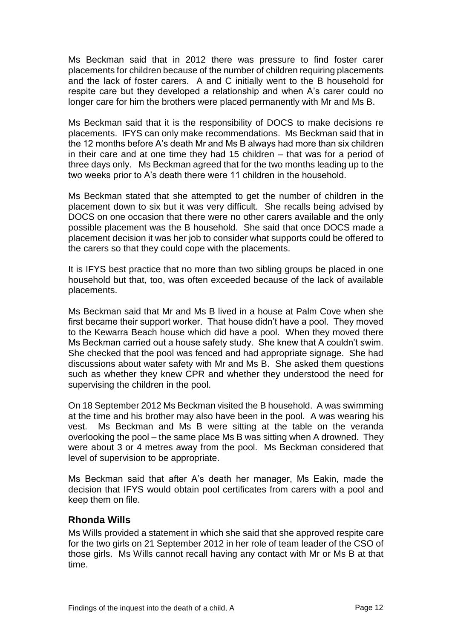Ms Beckman said that in 2012 there was pressure to find foster carer placements for children because of the number of children requiring placements and the lack of foster carers. A and C initially went to the B household for respite care but they developed a relationship and when A's carer could no longer care for him the brothers were placed permanently with Mr and Ms B.

Ms Beckman said that it is the responsibility of DOCS to make decisions re placements. IFYS can only make recommendations. Ms Beckman said that in the 12 months before A's death Mr and Ms B always had more than six children in their care and at one time they had 15 children – that was for a period of three days only. Ms Beckman agreed that for the two months leading up to the two weeks prior to A's death there were 11 children in the household.

Ms Beckman stated that she attempted to get the number of children in the placement down to six but it was very difficult. She recalls being advised by DOCS on one occasion that there were no other carers available and the only possible placement was the B household. She said that once DOCS made a placement decision it was her job to consider what supports could be offered to the carers so that they could cope with the placements.

It is IFYS best practice that no more than two sibling groups be placed in one household but that, too, was often exceeded because of the lack of available placements.

Ms Beckman said that Mr and Ms B lived in a house at Palm Cove when she first became their support worker. That house didn't have a pool. They moved to the Kewarra Beach house which did have a pool. When they moved there Ms Beckman carried out a house safety study. She knew that A couldn't swim. She checked that the pool was fenced and had appropriate signage. She had discussions about water safety with Mr and Ms B. She asked them questions such as whether they knew CPR and whether they understood the need for supervising the children in the pool.

On 18 September 2012 Ms Beckman visited the B household. A was swimming at the time and his brother may also have been in the pool. A was wearing his vest. Ms Beckman and Ms B were sitting at the table on the veranda overlooking the pool – the same place Ms B was sitting when A drowned. They were about 3 or 4 metres away from the pool. Ms Beckman considered that level of supervision to be appropriate.

Ms Beckman said that after A's death her manager, Ms Eakin, made the decision that IFYS would obtain pool certificates from carers with a pool and keep them on file.

#### **Rhonda Wills**

Ms Wills provided a statement in which she said that she approved respite care for the two girls on 21 September 2012 in her role of team leader of the CSO of those girls. Ms Wills cannot recall having any contact with Mr or Ms B at that time.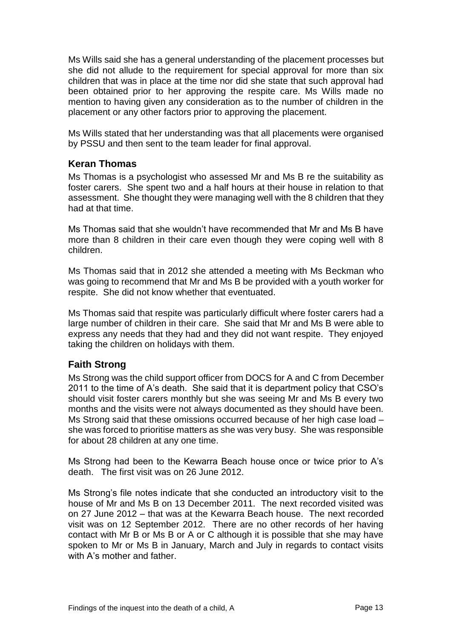Ms Wills said she has a general understanding of the placement processes but she did not allude to the requirement for special approval for more than six children that was in place at the time nor did she state that such approval had been obtained prior to her approving the respite care. Ms Wills made no mention to having given any consideration as to the number of children in the placement or any other factors prior to approving the placement.

Ms Wills stated that her understanding was that all placements were organised by PSSU and then sent to the team leader for final approval.

#### **Keran Thomas**

Ms Thomas is a psychologist who assessed Mr and Ms B re the suitability as foster carers. She spent two and a half hours at their house in relation to that assessment. She thought they were managing well with the 8 children that they had at that time.

Ms Thomas said that she wouldn't have recommended that Mr and Ms B have more than 8 children in their care even though they were coping well with 8 children.

Ms Thomas said that in 2012 she attended a meeting with Ms Beckman who was going to recommend that Mr and Ms B be provided with a youth worker for respite. She did not know whether that eventuated.

Ms Thomas said that respite was particularly difficult where foster carers had a large number of children in their care. She said that Mr and Ms B were able to express any needs that they had and they did not want respite. They enjoyed taking the children on holidays with them.

# **Faith Strong**

Ms Strong was the child support officer from DOCS for A and C from December 2011 to the time of A's death. She said that it is department policy that CSO's should visit foster carers monthly but she was seeing Mr and Ms B every two months and the visits were not always documented as they should have been. Ms Strong said that these omissions occurred because of her high case load – she was forced to prioritise matters as she was very busy. She was responsible for about 28 children at any one time.

Ms Strong had been to the Kewarra Beach house once or twice prior to A's death. The first visit was on 26 June 2012.

Ms Strong's file notes indicate that she conducted an introductory visit to the house of Mr and Ms B on 13 December 2011. The next recorded visited was on 27 June 2012 – that was at the Kewarra Beach house. The next recorded visit was on 12 September 2012. There are no other records of her having contact with Mr B or Ms B or A or C although it is possible that she may have spoken to Mr or Ms B in January, March and July in regards to contact visits with A's mother and father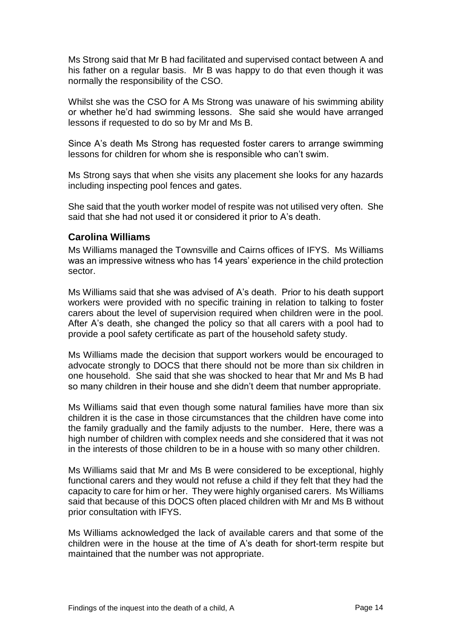Ms Strong said that Mr B had facilitated and supervised contact between A and his father on a regular basis. Mr B was happy to do that even though it was normally the responsibility of the CSO.

Whilst she was the CSO for A Ms Strong was unaware of his swimming ability or whether he'd had swimming lessons. She said she would have arranged lessons if requested to do so by Mr and Ms B.

Since A's death Ms Strong has requested foster carers to arrange swimming lessons for children for whom she is responsible who can't swim.

Ms Strong says that when she visits any placement she looks for any hazards including inspecting pool fences and gates.

She said that the youth worker model of respite was not utilised very often. She said that she had not used it or considered it prior to A's death.

#### **Carolina Williams**

Ms Williams managed the Townsville and Cairns offices of IFYS. Ms Williams was an impressive witness who has 14 years' experience in the child protection sector.

Ms Williams said that she was advised of A's death. Prior to his death support workers were provided with no specific training in relation to talking to foster carers about the level of supervision required when children were in the pool. After A's death, she changed the policy so that all carers with a pool had to provide a pool safety certificate as part of the household safety study.

Ms Williams made the decision that support workers would be encouraged to advocate strongly to DOCS that there should not be more than six children in one household. She said that she was shocked to hear that Mr and Ms B had so many children in their house and she didn't deem that number appropriate.

Ms Williams said that even though some natural families have more than six children it is the case in those circumstances that the children have come into the family gradually and the family adjusts to the number. Here, there was a high number of children with complex needs and she considered that it was not in the interests of those children to be in a house with so many other children.

Ms Williams said that Mr and Ms B were considered to be exceptional, highly functional carers and they would not refuse a child if they felt that they had the capacity to care for him or her. They were highly organised carers. Ms Williams said that because of this DOCS often placed children with Mr and Ms B without prior consultation with IFYS.

Ms Williams acknowledged the lack of available carers and that some of the children were in the house at the time of A's death for short-term respite but maintained that the number was not appropriate.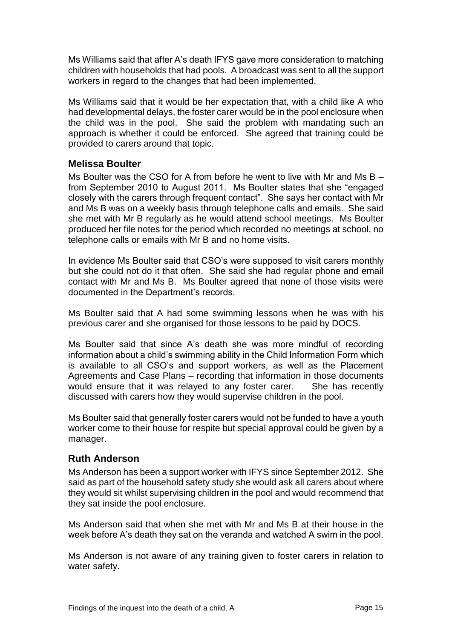Ms Williams said that after A's death IFYS gave more consideration to matching children with households that had pools. A broadcast was sent to all the support workers in regard to the changes that had been implemented.

Ms Williams said that it would be her expectation that, with a child like A who had developmental delays, the foster carer would be in the pool enclosure when the child was in the pool. She said the problem with mandating such an approach is whether it could be enforced. She agreed that training could be provided to carers around that topic.

#### **Melissa Boulter**

Ms Boulter was the CSO for A from before he went to live with Mr and Ms  $B$ from September 2010 to August 2011. Ms Boulter states that she "engaged closely with the carers through frequent contact". She says her contact with Mr and Ms B was on a weekly basis through telephone calls and emails. She said she met with Mr B regularly as he would attend school meetings. Ms Boulter produced her file notes for the period which recorded no meetings at school, no telephone calls or emails with Mr B and no home visits.

In evidence Ms Boulter said that CSO's were supposed to visit carers monthly but she could not do it that often. She said she had regular phone and email contact with Mr and Ms B. Ms Boulter agreed that none of those visits were documented in the Department's records.

Ms Boulter said that A had some swimming lessons when he was with his previous carer and she organised for those lessons to be paid by DOCS.

Ms Boulter said that since A's death she was more mindful of recording information about a child's swimming ability in the Child Information Form which is available to all CSO's and support workers, as well as the Placement Agreements and Case Plans – recording that information in those documents would ensure that it was relayed to any foster carer. She has recently discussed with carers how they would supervise children in the pool.

Ms Boulter said that generally foster carers would not be funded to have a youth worker come to their house for respite but special approval could be given by a manager.

#### **Ruth Anderson**

Ms Anderson has been a support worker with IFYS since September 2012. She said as part of the household safety study she would ask all carers about where they would sit whilst supervising children in the pool and would recommend that they sat inside the pool enclosure.

Ms Anderson said that when she met with Mr and Ms B at their house in the week before A's death they sat on the veranda and watched A swim in the pool.

Ms Anderson is not aware of any training given to foster carers in relation to water safety.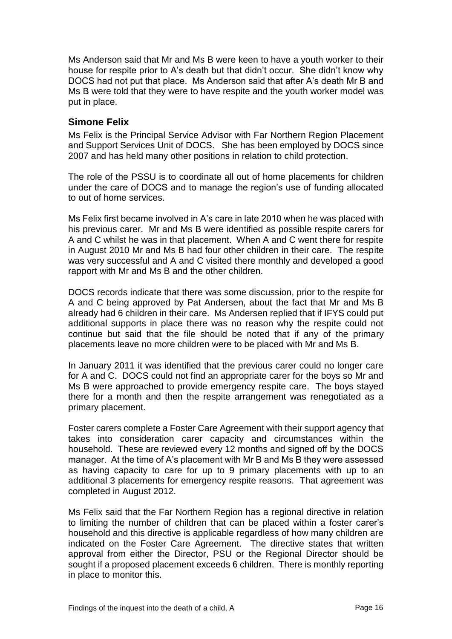Ms Anderson said that Mr and Ms B were keen to have a youth worker to their house for respite prior to A's death but that didn't occur. She didn't know why DOCS had not put that place. Ms Anderson said that after A's death Mr B and Ms B were told that they were to have respite and the youth worker model was put in place.

### **Simone Felix**

Ms Felix is the Principal Service Advisor with Far Northern Region Placement and Support Services Unit of DOCS. She has been employed by DOCS since 2007 and has held many other positions in relation to child protection.

The role of the PSSU is to coordinate all out of home placements for children under the care of DOCS and to manage the region's use of funding allocated to out of home services.

Ms Felix first became involved in A's care in late 2010 when he was placed with his previous carer. Mr and Ms B were identified as possible respite carers for A and C whilst he was in that placement. When A and C went there for respite in August 2010 Mr and Ms B had four other children in their care. The respite was very successful and A and C visited there monthly and developed a good rapport with Mr and Ms B and the other children.

DOCS records indicate that there was some discussion, prior to the respite for A and C being approved by Pat Andersen, about the fact that Mr and Ms B already had 6 children in their care. Ms Andersen replied that if IFYS could put additional supports in place there was no reason why the respite could not continue but said that the file should be noted that if any of the primary placements leave no more children were to be placed with Mr and Ms B.

In January 2011 it was identified that the previous carer could no longer care for A and C. DOCS could not find an appropriate carer for the boys so Mr and Ms B were approached to provide emergency respite care. The boys stayed there for a month and then the respite arrangement was renegotiated as a primary placement.

Foster carers complete a Foster Care Agreement with their support agency that takes into consideration carer capacity and circumstances within the household. These are reviewed every 12 months and signed off by the DOCS manager. At the time of A's placement with Mr B and Ms B they were assessed as having capacity to care for up to 9 primary placements with up to an additional 3 placements for emergency respite reasons. That agreement was completed in August 2012.

Ms Felix said that the Far Northern Region has a regional directive in relation to limiting the number of children that can be placed within a foster carer's household and this directive is applicable regardless of how many children are indicated on the Foster Care Agreement. The directive states that written approval from either the Director, PSU or the Regional Director should be sought if a proposed placement exceeds 6 children. There is monthly reporting in place to monitor this.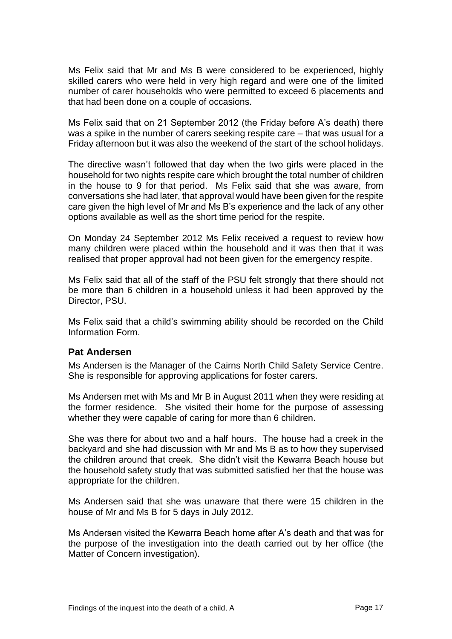Ms Felix said that Mr and Ms B were considered to be experienced, highly skilled carers who were held in very high regard and were one of the limited number of carer households who were permitted to exceed 6 placements and that had been done on a couple of occasions.

Ms Felix said that on 21 September 2012 (the Friday before A's death) there was a spike in the number of carers seeking respite care – that was usual for a Friday afternoon but it was also the weekend of the start of the school holidays.

The directive wasn't followed that day when the two girls were placed in the household for two nights respite care which brought the total number of children in the house to 9 for that period. Ms Felix said that she was aware, from conversations she had later, that approval would have been given for the respite care given the high level of Mr and Ms B's experience and the lack of any other options available as well as the short time period for the respite.

On Monday 24 September 2012 Ms Felix received a request to review how many children were placed within the household and it was then that it was realised that proper approval had not been given for the emergency respite.

Ms Felix said that all of the staff of the PSU felt strongly that there should not be more than 6 children in a household unless it had been approved by the Director, PSU.

Ms Felix said that a child's swimming ability should be recorded on the Child Information Form.

#### **Pat Andersen**

Ms Andersen is the Manager of the Cairns North Child Safety Service Centre. She is responsible for approving applications for foster carers.

Ms Andersen met with Ms and Mr B in August 2011 when they were residing at the former residence. She visited their home for the purpose of assessing whether they were capable of caring for more than 6 children.

She was there for about two and a half hours. The house had a creek in the backyard and she had discussion with Mr and Ms B as to how they supervised the children around that creek. She didn't visit the Kewarra Beach house but the household safety study that was submitted satisfied her that the house was appropriate for the children.

Ms Andersen said that she was unaware that there were 15 children in the house of Mr and Ms B for 5 days in July 2012.

Ms Andersen visited the Kewarra Beach home after A's death and that was for the purpose of the investigation into the death carried out by her office (the Matter of Concern investigation).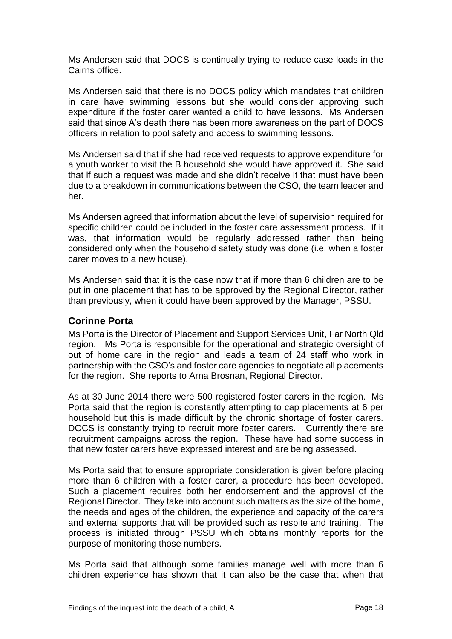Ms Andersen said that DOCS is continually trying to reduce case loads in the Cairns office.

Ms Andersen said that there is no DOCS policy which mandates that children in care have swimming lessons but she would consider approving such expenditure if the foster carer wanted a child to have lessons. Ms Andersen said that since A's death there has been more awareness on the part of DOCS officers in relation to pool safety and access to swimming lessons.

Ms Andersen said that if she had received requests to approve expenditure for a youth worker to visit the B household she would have approved it. She said that if such a request was made and she didn't receive it that must have been due to a breakdown in communications between the CSO, the team leader and her.

Ms Andersen agreed that information about the level of supervision required for specific children could be included in the foster care assessment process. If it was, that information would be regularly addressed rather than being considered only when the household safety study was done (i.e. when a foster carer moves to a new house).

Ms Andersen said that it is the case now that if more than 6 children are to be put in one placement that has to be approved by the Regional Director, rather than previously, when it could have been approved by the Manager, PSSU.

#### **Corinne Porta**

Ms Porta is the Director of Placement and Support Services Unit, Far North Qld region. Ms Porta is responsible for the operational and strategic oversight of out of home care in the region and leads a team of 24 staff who work in partnership with the CSO's and foster care agencies to negotiate all placements for the region. She reports to Arna Brosnan, Regional Director.

As at 30 June 2014 there were 500 registered foster carers in the region. Ms Porta said that the region is constantly attempting to cap placements at 6 per household but this is made difficult by the chronic shortage of foster carers. DOCS is constantly trying to recruit more foster carers. Currently there are recruitment campaigns across the region. These have had some success in that new foster carers have expressed interest and are being assessed.

Ms Porta said that to ensure appropriate consideration is given before placing more than 6 children with a foster carer, a procedure has been developed. Such a placement requires both her endorsement and the approval of the Regional Director. They take into account such matters as the size of the home, the needs and ages of the children, the experience and capacity of the carers and external supports that will be provided such as respite and training. The process is initiated through PSSU which obtains monthly reports for the purpose of monitoring those numbers.

Ms Porta said that although some families manage well with more than 6 children experience has shown that it can also be the case that when that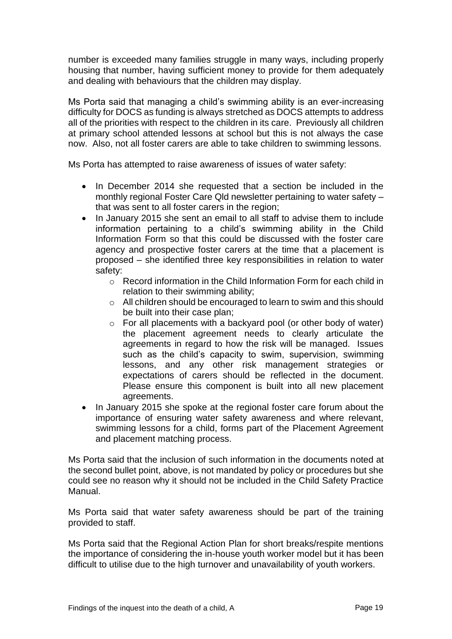number is exceeded many families struggle in many ways, including properly housing that number, having sufficient money to provide for them adequately and dealing with behaviours that the children may display.

Ms Porta said that managing a child's swimming ability is an ever-increasing difficulty for DOCS as funding is always stretched as DOCS attempts to address all of the priorities with respect to the children in its care. Previously all children at primary school attended lessons at school but this is not always the case now. Also, not all foster carers are able to take children to swimming lessons.

Ms Porta has attempted to raise awareness of issues of water safety:

- In December 2014 she requested that a section be included in the monthly regional Foster Care Qld newsletter pertaining to water safety – that was sent to all foster carers in the region;
- In January 2015 she sent an email to all staff to advise them to include information pertaining to a child's swimming ability in the Child Information Form so that this could be discussed with the foster care agency and prospective foster carers at the time that a placement is proposed – she identified three key responsibilities in relation to water safety:
	- $\circ$  Record information in the Child Information Form for each child in relation to their swimming ability;
	- o All children should be encouraged to learn to swim and this should be built into their case plan;
	- o For all placements with a backyard pool (or other body of water) the placement agreement needs to clearly articulate the agreements in regard to how the risk will be managed. Issues such as the child's capacity to swim, supervision, swimming lessons, and any other risk management strategies or expectations of carers should be reflected in the document. Please ensure this component is built into all new placement agreements.
- In January 2015 she spoke at the regional foster care forum about the importance of ensuring water safety awareness and where relevant, swimming lessons for a child, forms part of the Placement Agreement and placement matching process.

Ms Porta said that the inclusion of such information in the documents noted at the second bullet point, above, is not mandated by policy or procedures but she could see no reason why it should not be included in the Child Safety Practice Manual.

Ms Porta said that water safety awareness should be part of the training provided to staff.

Ms Porta said that the Regional Action Plan for short breaks/respite mentions the importance of considering the in-house youth worker model but it has been difficult to utilise due to the high turnover and unavailability of youth workers.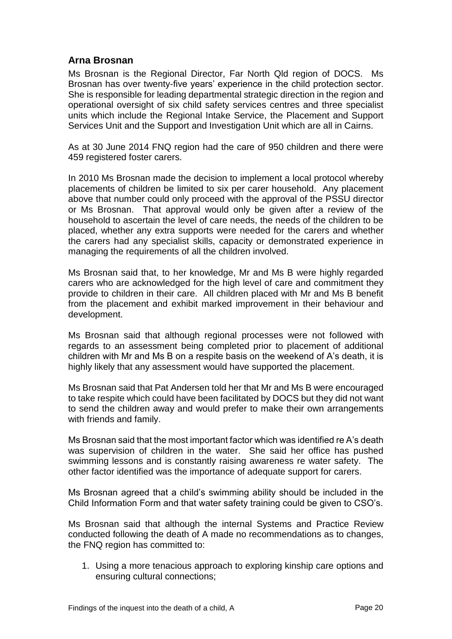# **Arna Brosnan**

Ms Brosnan is the Regional Director, Far North Qld region of DOCS. Ms Brosnan has over twenty-five years' experience in the child protection sector. She is responsible for leading departmental strategic direction in the region and operational oversight of six child safety services centres and three specialist units which include the Regional Intake Service, the Placement and Support Services Unit and the Support and Investigation Unit which are all in Cairns.

As at 30 June 2014 FNQ region had the care of 950 children and there were 459 registered foster carers.

In 2010 Ms Brosnan made the decision to implement a local protocol whereby placements of children be limited to six per carer household. Any placement above that number could only proceed with the approval of the PSSU director or Ms Brosnan. That approval would only be given after a review of the household to ascertain the level of care needs, the needs of the children to be placed, whether any extra supports were needed for the carers and whether the carers had any specialist skills, capacity or demonstrated experience in managing the requirements of all the children involved.

Ms Brosnan said that, to her knowledge, Mr and Ms B were highly regarded carers who are acknowledged for the high level of care and commitment they provide to children in their care. All children placed with Mr and Ms B benefit from the placement and exhibit marked improvement in their behaviour and development.

Ms Brosnan said that although regional processes were not followed with regards to an assessment being completed prior to placement of additional children with Mr and Ms B on a respite basis on the weekend of A's death, it is highly likely that any assessment would have supported the placement.

Ms Brosnan said that Pat Andersen told her that Mr and Ms B were encouraged to take respite which could have been facilitated by DOCS but they did not want to send the children away and would prefer to make their own arrangements with friends and family.

Ms Brosnan said that the most important factor which was identified re A's death was supervision of children in the water. She said her office has pushed swimming lessons and is constantly raising awareness re water safety. The other factor identified was the importance of adequate support for carers.

Ms Brosnan agreed that a child's swimming ability should be included in the Child Information Form and that water safety training could be given to CSO's.

Ms Brosnan said that although the internal Systems and Practice Review conducted following the death of A made no recommendations as to changes, the FNQ region has committed to:

1. Using a more tenacious approach to exploring kinship care options and ensuring cultural connections;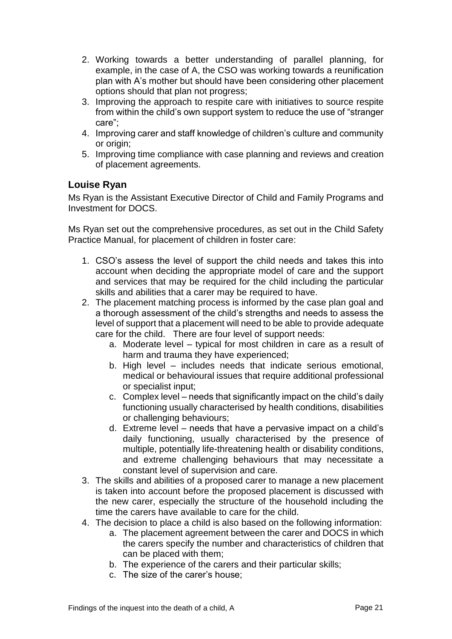- 2. Working towards a better understanding of parallel planning, for example, in the case of A, the CSO was working towards a reunification plan with A's mother but should have been considering other placement options should that plan not progress;
- 3. Improving the approach to respite care with initiatives to source respite from within the child's own support system to reduce the use of "stranger care";
- 4. Improving carer and staff knowledge of children's culture and community or origin;
- 5. Improving time compliance with case planning and reviews and creation of placement agreements.

# **Louise Ryan**

Ms Ryan is the Assistant Executive Director of Child and Family Programs and Investment for DOCS.

Ms Ryan set out the comprehensive procedures, as set out in the Child Safety Practice Manual, for placement of children in foster care:

- 1. CSO's assess the level of support the child needs and takes this into account when deciding the appropriate model of care and the support and services that may be required for the child including the particular skills and abilities that a carer may be required to have.
- 2. The placement matching process is informed by the case plan goal and a thorough assessment of the child's strengths and needs to assess the level of support that a placement will need to be able to provide adequate care for the child. There are four level of support needs:
	- a. Moderate level typical for most children in care as a result of harm and trauma they have experienced;
	- b. High level includes needs that indicate serious emotional, medical or behavioural issues that require additional professional or specialist input;
	- c. Complex level needs that significantly impact on the child's daily functioning usually characterised by health conditions, disabilities or challenging behaviours;
	- d. Extreme level needs that have a pervasive impact on a child's daily functioning, usually characterised by the presence of multiple, potentially life-threatening health or disability conditions, and extreme challenging behaviours that may necessitate a constant level of supervision and care.
- 3. The skills and abilities of a proposed carer to manage a new placement is taken into account before the proposed placement is discussed with the new carer, especially the structure of the household including the time the carers have available to care for the child.
- 4. The decision to place a child is also based on the following information:
	- a. The placement agreement between the carer and DOCS in which the carers specify the number and characteristics of children that can be placed with them;
	- b. The experience of the carers and their particular skills;
	- c. The size of the carer's house;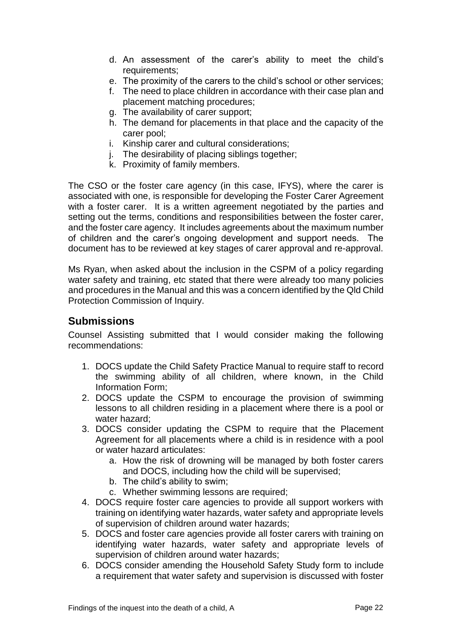- d. An assessment of the carer's ability to meet the child's requirements;
- e. The proximity of the carers to the child's school or other services;
- f. The need to place children in accordance with their case plan and placement matching procedures;
- g. The availability of carer support;
- h. The demand for placements in that place and the capacity of the carer pool;
- i. Kinship carer and cultural considerations;
- i. The desirability of placing siblings together:
- k. Proximity of family members.

The CSO or the foster care agency (in this case, IFYS), where the carer is associated with one, is responsible for developing the Foster Carer Agreement with a foster carer. It is a written agreement negotiated by the parties and setting out the terms, conditions and responsibilities between the foster carer, and the foster care agency. It includes agreements about the maximum number of children and the carer's ongoing development and support needs. The document has to be reviewed at key stages of carer approval and re-approval.

Ms Ryan, when asked about the inclusion in the CSPM of a policy regarding water safety and training, etc stated that there were already too many policies and procedures in the Manual and this was a concern identified by the Qld Child Protection Commission of Inquiry.

# **Submissions**

Counsel Assisting submitted that I would consider making the following recommendations:

- 1. DOCS update the Child Safety Practice Manual to require staff to record the swimming ability of all children, where known, in the Child Information Form;
- 2. DOCS update the CSPM to encourage the provision of swimming lessons to all children residing in a placement where there is a pool or water hazard;
- 3. DOCS consider updating the CSPM to require that the Placement Agreement for all placements where a child is in residence with a pool or water hazard articulates:
	- a. How the risk of drowning will be managed by both foster carers and DOCS, including how the child will be supervised;
	- b. The child's ability to swim;
	- c. Whether swimming lessons are required;
- 4. DOCS require foster care agencies to provide all support workers with training on identifying water hazards, water safety and appropriate levels of supervision of children around water hazards;
- 5. DOCS and foster care agencies provide all foster carers with training on identifying water hazards, water safety and appropriate levels of supervision of children around water hazards;
- 6. DOCS consider amending the Household Safety Study form to include a requirement that water safety and supervision is discussed with foster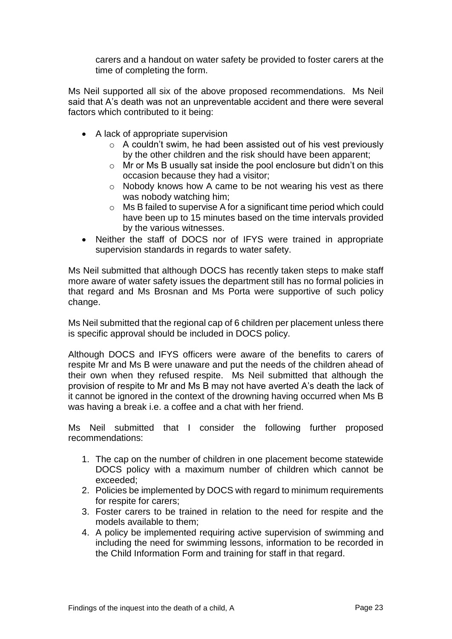carers and a handout on water safety be provided to foster carers at the time of completing the form.

Ms Neil supported all six of the above proposed recommendations. Ms Neil said that A's death was not an unpreventable accident and there were several factors which contributed to it being:

- A lack of appropriate supervision
	- o A couldn't swim, he had been assisted out of his vest previously by the other children and the risk should have been apparent;
	- o Mr or Ms B usually sat inside the pool enclosure but didn't on this occasion because they had a visitor;
	- o Nobody knows how A came to be not wearing his vest as there was nobody watching him;
	- o Ms B failed to supervise A for a significant time period which could have been up to 15 minutes based on the time intervals provided by the various witnesses.
- Neither the staff of DOCS nor of IFYS were trained in appropriate supervision standards in regards to water safety.

Ms Neil submitted that although DOCS has recently taken steps to make staff more aware of water safety issues the department still has no formal policies in that regard and Ms Brosnan and Ms Porta were supportive of such policy change.

Ms Neil submitted that the regional cap of 6 children per placement unless there is specific approval should be included in DOCS policy.

Although DOCS and IFYS officers were aware of the benefits to carers of respite Mr and Ms B were unaware and put the needs of the children ahead of their own when they refused respite. Ms Neil submitted that although the provision of respite to Mr and Ms B may not have averted A's death the lack of it cannot be ignored in the context of the drowning having occurred when Ms B was having a break i.e. a coffee and a chat with her friend.

Ms Neil submitted that I consider the following further proposed recommendations:

- 1. The cap on the number of children in one placement become statewide DOCS policy with a maximum number of children which cannot be exceeded;
- 2. Policies be implemented by DOCS with regard to minimum requirements for respite for carers;
- 3. Foster carers to be trained in relation to the need for respite and the models available to them;
- 4. A policy be implemented requiring active supervision of swimming and including the need for swimming lessons, information to be recorded in the Child Information Form and training for staff in that regard.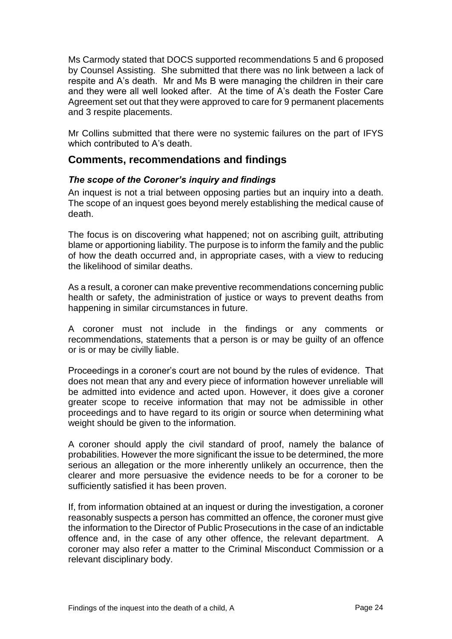Ms Carmody stated that DOCS supported recommendations 5 and 6 proposed by Counsel Assisting. She submitted that there was no link between a lack of respite and A's death. Mr and Ms B were managing the children in their care and they were all well looked after. At the time of A's death the Foster Care Agreement set out that they were approved to care for 9 permanent placements and 3 respite placements.

Mr Collins submitted that there were no systemic failures on the part of IFYS which contributed to A's death.

# **Comments, recommendations and findings**

#### *The scope of the Coroner's inquiry and findings*

An inquest is not a trial between opposing parties but an inquiry into a death. The scope of an inquest goes beyond merely establishing the medical cause of death.

The focus is on discovering what happened; not on ascribing guilt, attributing blame or apportioning liability. The purpose is to inform the family and the public of how the death occurred and, in appropriate cases, with a view to reducing the likelihood of similar deaths.

As a result, a coroner can make preventive recommendations concerning public health or safety, the administration of justice or ways to prevent deaths from happening in similar circumstances in future.

A coroner must not include in the findings or any comments or recommendations, statements that a person is or may be guilty of an offence or is or may be civilly liable.

Proceedings in a coroner's court are not bound by the rules of evidence. That does not mean that any and every piece of information however unreliable will be admitted into evidence and acted upon. However, it does give a coroner greater scope to receive information that may not be admissible in other proceedings and to have regard to its origin or source when determining what weight should be given to the information.

A coroner should apply the civil standard of proof, namely the balance of probabilities. However the more significant the issue to be determined, the more serious an allegation or the more inherently unlikely an occurrence, then the clearer and more persuasive the evidence needs to be for a coroner to be sufficiently satisfied it has been proven.

If, from information obtained at an inquest or during the investigation, a coroner reasonably suspects a person has committed an offence, the coroner must give the information to the Director of Public Prosecutions in the case of an indictable offence and, in the case of any other offence, the relevant department. A coroner may also refer a matter to the Criminal Misconduct Commission or a relevant disciplinary body.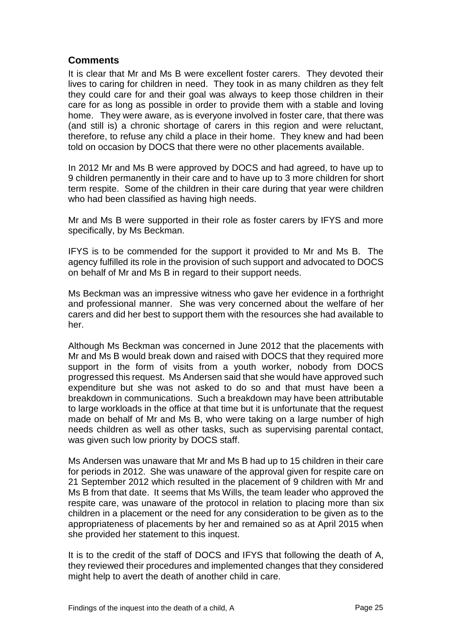# **Comments**

It is clear that Mr and Ms B were excellent foster carers. They devoted their lives to caring for children in need. They took in as many children as they felt they could care for and their goal was always to keep those children in their care for as long as possible in order to provide them with a stable and loving home. They were aware, as is everyone involved in foster care, that there was (and still is) a chronic shortage of carers in this region and were reluctant, therefore, to refuse any child a place in their home. They knew and had been told on occasion by DOCS that there were no other placements available.

In 2012 Mr and Ms B were approved by DOCS and had agreed, to have up to 9 children permanently in their care and to have up to 3 more children for short term respite. Some of the children in their care during that year were children who had been classified as having high needs.

Mr and Ms B were supported in their role as foster carers by IFYS and more specifically, by Ms Beckman.

IFYS is to be commended for the support it provided to Mr and Ms B. The agency fulfilled its role in the provision of such support and advocated to DOCS on behalf of Mr and Ms B in regard to their support needs.

Ms Beckman was an impressive witness who gave her evidence in a forthright and professional manner. She was very concerned about the welfare of her carers and did her best to support them with the resources she had available to her.

Although Ms Beckman was concerned in June 2012 that the placements with Mr and Ms B would break down and raised with DOCS that they required more support in the form of visits from a youth worker, nobody from DOCS progressed this request. Ms Andersen said that she would have approved such expenditure but she was not asked to do so and that must have been a breakdown in communications. Such a breakdown may have been attributable to large workloads in the office at that time but it is unfortunate that the request made on behalf of Mr and Ms B, who were taking on a large number of high needs children as well as other tasks, such as supervising parental contact, was given such low priority by DOCS staff.

Ms Andersen was unaware that Mr and Ms B had up to 15 children in their care for periods in 2012. She was unaware of the approval given for respite care on 21 September 2012 which resulted in the placement of 9 children with Mr and Ms B from that date. It seems that Ms Wills, the team leader who approved the respite care, was unaware of the protocol in relation to placing more than six children in a placement or the need for any consideration to be given as to the appropriateness of placements by her and remained so as at April 2015 when she provided her statement to this inquest.

It is to the credit of the staff of DOCS and IFYS that following the death of A, they reviewed their procedures and implemented changes that they considered might help to avert the death of another child in care.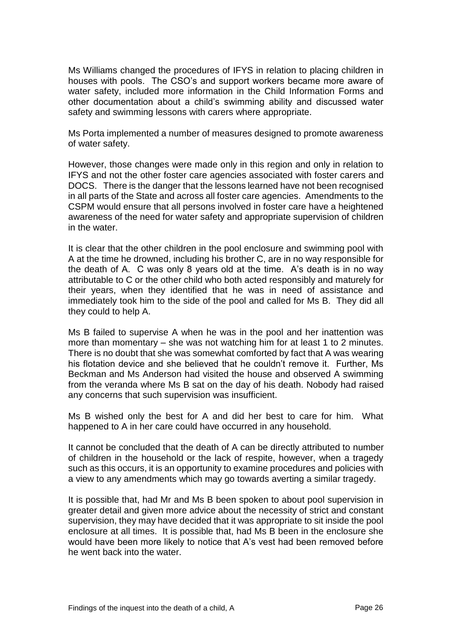Ms Williams changed the procedures of IFYS in relation to placing children in houses with pools. The CSO's and support workers became more aware of water safety, included more information in the Child Information Forms and other documentation about a child's swimming ability and discussed water safety and swimming lessons with carers where appropriate.

Ms Porta implemented a number of measures designed to promote awareness of water safety.

However, those changes were made only in this region and only in relation to IFYS and not the other foster care agencies associated with foster carers and DOCS. There is the danger that the lessons learned have not been recognised in all parts of the State and across all foster care agencies. Amendments to the CSPM would ensure that all persons involved in foster care have a heightened awareness of the need for water safety and appropriate supervision of children in the water.

It is clear that the other children in the pool enclosure and swimming pool with A at the time he drowned, including his brother C, are in no way responsible for the death of A. C was only 8 years old at the time. A's death is in no way attributable to C or the other child who both acted responsibly and maturely for their years, when they identified that he was in need of assistance and immediately took him to the side of the pool and called for Ms B. They did all they could to help A.

Ms B failed to supervise A when he was in the pool and her inattention was more than momentary – she was not watching him for at least 1 to 2 minutes. There is no doubt that she was somewhat comforted by fact that A was wearing his flotation device and she believed that he couldn't remove it. Further, Ms Beckman and Ms Anderson had visited the house and observed A swimming from the veranda where Ms B sat on the day of his death. Nobody had raised any concerns that such supervision was insufficient.

Ms B wished only the best for A and did her best to care for him. What happened to A in her care could have occurred in any household.

It cannot be concluded that the death of A can be directly attributed to number of children in the household or the lack of respite, however, when a tragedy such as this occurs, it is an opportunity to examine procedures and policies with a view to any amendments which may go towards averting a similar tragedy.

It is possible that, had Mr and Ms B been spoken to about pool supervision in greater detail and given more advice about the necessity of strict and constant supervision, they may have decided that it was appropriate to sit inside the pool enclosure at all times. It is possible that, had Ms B been in the enclosure she would have been more likely to notice that A's vest had been removed before he went back into the water.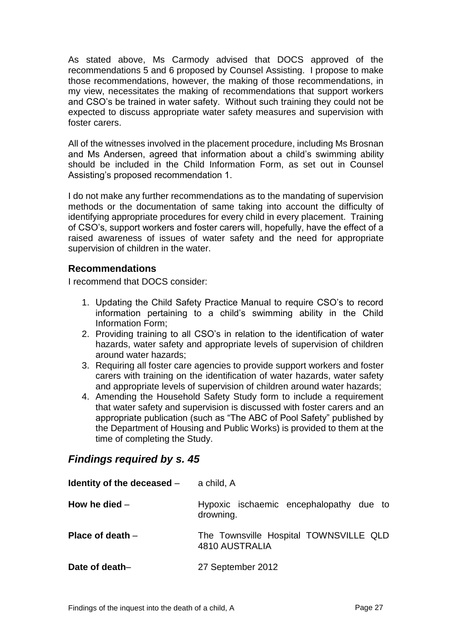As stated above, Ms Carmody advised that DOCS approved of the recommendations 5 and 6 proposed by Counsel Assisting. I propose to make those recommendations, however, the making of those recommendations, in my view, necessitates the making of recommendations that support workers and CSO's be trained in water safety. Without such training they could not be expected to discuss appropriate water safety measures and supervision with foster carers.

All of the witnesses involved in the placement procedure, including Ms Brosnan and Ms Andersen, agreed that information about a child's swimming ability should be included in the Child Information Form, as set out in Counsel Assisting's proposed recommendation 1.

I do not make any further recommendations as to the mandating of supervision methods or the documentation of same taking into account the difficulty of identifying appropriate procedures for every child in every placement. Training of CSO's, support workers and foster carers will, hopefully, have the effect of a raised awareness of issues of water safety and the need for appropriate supervision of children in the water.

# **Recommendations**

I recommend that DOCS consider:

- 1. Updating the Child Safety Practice Manual to require CSO's to record information pertaining to a child's swimming ability in the Child Information Form;
- 2. Providing training to all CSO's in relation to the identification of water hazards, water safety and appropriate levels of supervision of children around water hazards;
- 3. Requiring all foster care agencies to provide support workers and foster carers with training on the identification of water hazards, water safety and appropriate levels of supervision of children around water hazards;
- 4. Amending the Household Safety Study form to include a requirement that water safety and supervision is discussed with foster carers and an appropriate publication (such as "The ABC of Pool Safety" published by the Department of Housing and Public Works) is provided to them at the time of completing the Study.

# *Findings required by s. 45*

| Identity of the deceased $-$ | a child, A                                               |
|------------------------------|----------------------------------------------------------|
| How he died $-$              | Hypoxic ischaemic encephalopathy due to<br>drowning.     |
| Place of death $-$           | The Townsville Hospital TOWNSVILLE QLD<br>4810 AUSTRALIA |
| Date of death-               | 27 September 2012                                        |